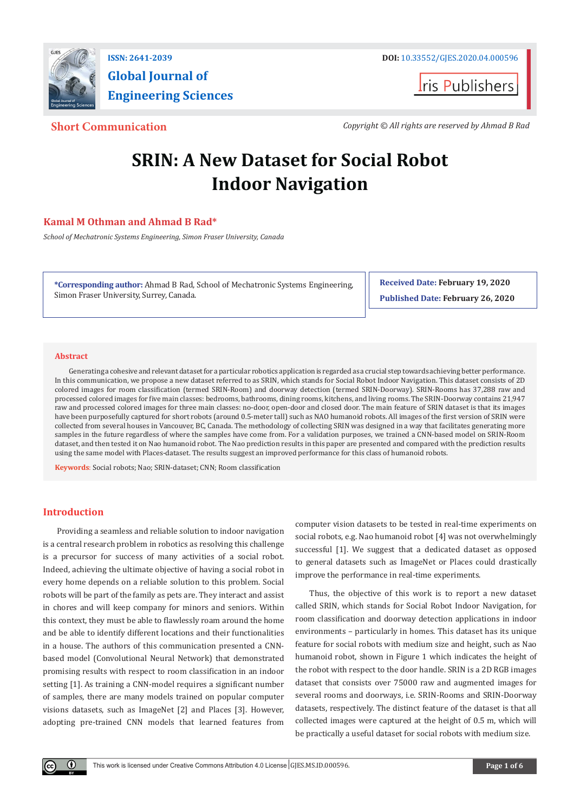

**ISSN: 2641-2039 DOI:** [10.33552/GJES.2020.04.00059](http://dx.doi.org/10.33552/GJES.2020.04.000596)6 **Global Journal of Engineering Sciences**

**I**ris Publishers

**Short Communication** *Copyright © All rights are reserved by Ahmad B Rad*

# **SRIN: A New Dataset for Social Robot Indoor Navigation**

# **Kamal M Othman and Ahmad B Rad\***

*School of Mechatronic Systems Engineering, Simon Fraser University, Canada*

**\*Corresponding author:** Ahmad B Rad, School of Mechatronic Systems Engineering, Simon Fraser University, Surrey, Canada.

**Received Date: February 19, 2020 Published Date: February 26, 2020**

#### **Abstract**

Generating a cohesive and relevant dataset for a particular robotics application is regarded as a crucial step towards achieving better performance. In this communication, we propose a new dataset referred to as SRIN, which stands for Social Robot Indoor Navigation. This dataset consists of 2D colored images for room classification (termed SRIN-Room) and doorway detection (termed SRIN-Doorway). SRIN-Rooms has 37,288 raw and processed colored images for five main classes: bedrooms, bathrooms, dining rooms, kitchens, and living rooms. The SRIN-Doorway contains 21,947 raw and processed colored images for three main classes: no-door, open-door and closed door. The main feature of SRIN dataset is that its images have been purposefully captured for short robots (around 0.5-meter tall) such as NAO humanoid robots. All images of the first version of SRIN were collected from several houses in Vancouver, BC, Canada. The methodology of collecting SRIN was designed in a way that facilitates generating more samples in the future regardless of where the samples have come from. For a validation purposes, we trained a CNN-based model on SRIN-Room dataset, and then tested it on Nao humanoid robot. The Nao prediction results in this paper are presented and compared with the prediction results using the same model with Places-dataset. The results suggest an improved performance for this class of humanoid robots.

**Keywords**: Social robots; Nao; SRIN-dataset; CNN; Room classification

# **Introduction**

O.

Providing a seamless and reliable solution to indoor navigation is a central research problem in robotics as resolving this challenge is a precursor for success of many activities of a social robot. Indeed, achieving the ultimate objective of having a social robot in every home depends on a reliable solution to this problem. Social robots will be part of the family as pets are. They interact and assist in chores and will keep company for minors and seniors. Within this context, they must be able to flawlessly roam around the home and be able to identify different locations and their functionalities in a house. The authors of this communication presented a CNNbased model (Convolutional Neural Network) that demonstrated promising results with respect to room classification in an indoor setting [1]. As training a CNN-model requires a significant number of samples, there are many models trained on popular computer visions datasets, such as ImageNet [2] and Places [3]. However, adopting pre-trained CNN models that learned features from

computer vision datasets to be tested in real-time experiments on social robots, e.g. Nao humanoid robot [4] was not overwhelmingly successful [1]. We suggest that a dedicated dataset as opposed to general datasets such as ImageNet or Places could drastically improve the performance in real-time experiments.

Thus, the objective of this work is to report a new dataset called SRIN, which stands for Social Robot Indoor Navigation, for room classification and doorway detection applications in indoor environments – particularly in homes. This dataset has its unique feature for social robots with medium size and height, such as Nao humanoid robot, shown in Figure 1 which indicates the height of the robot with respect to the door handle. SRIN is a 2D RGB images dataset that consists over 75000 raw and augmented images for several rooms and doorways, i.e. SRIN-Rooms and SRIN-Doorway datasets, respectively. The distinct feature of the dataset is that all collected images were captured at the height of 0.5 m, which will be practically a useful dataset for social robots with medium size.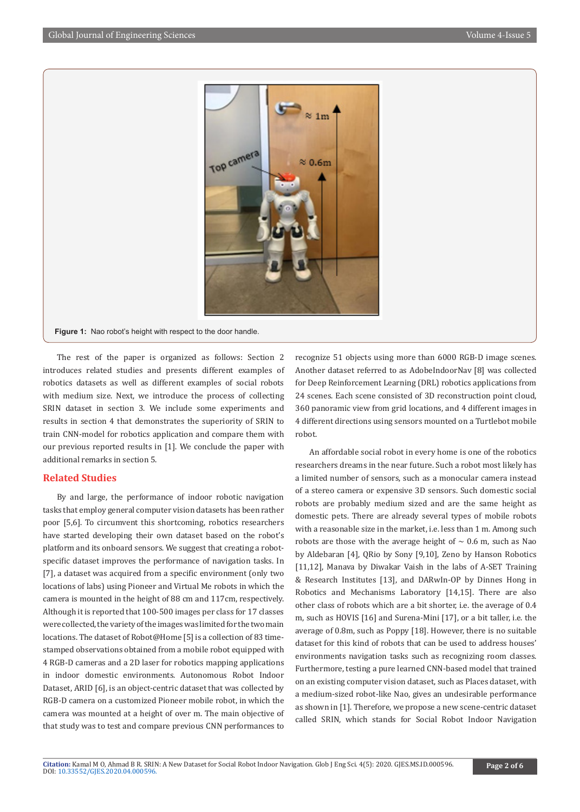

**Figure 1:** Nao robot's height with respect to the door handle.

The rest of the paper is organized as follows: Section 2 introduces related studies and presents different examples of robotics datasets as well as different examples of social robots with medium size. Next, we introduce the process of collecting SRIN dataset in section 3. We include some experiments and results in section 4 that demonstrates the superiority of SRIN to train CNN-model for robotics application and compare them with our previous reported results in [1]. We conclude the paper with additional remarks in section 5.

#### **Related Studies**

By and large, the performance of indoor robotic navigation tasks that employ general computer vision datasets has been rather poor [5,6]. To circumvent this shortcoming, robotics researchers have started developing their own dataset based on the robot's platform and its onboard sensors. We suggest that creating a robotspecific dataset improves the performance of navigation tasks. In [7], a dataset was acquired from a specific environment (only two locations of labs) using Pioneer and Virtual Me robots in which the camera is mounted in the height of 88 cm and 117cm, respectively. Although it is reported that 100-500 images per class for 17 classes were collected, the variety of the images was limited for the two main locations. The dataset of Robot@Home [5] is a collection of 83 timestamped observations obtained from a mobile robot equipped with 4 RGB-D cameras and a 2D laser for robotics mapping applications in indoor domestic environments. Autonomous Robot Indoor Dataset, ARID [6], is an object-centric dataset that was collected by RGB-D camera on a customized Pioneer mobile robot, in which the camera was mounted at a height of over m. The main objective of that study was to test and compare previous CNN performances to

recognize 51 objects using more than 6000 RGB-D image scenes. Another dataset referred to as AdobeIndoorNav [8] was collected for Deep Reinforcement Learning (DRL) robotics applications from 24 scenes. Each scene consisted of 3D reconstruction point cloud, 360 panoramic view from grid locations, and 4 different images in 4 different directions using sensors mounted on a Turtlebot mobile robot.

An affordable social robot in every home is one of the robotics researchers dreams in the near future. Such a robot most likely has a limited number of sensors, such as a monocular camera instead of a stereo camera or expensive 3D sensors. Such domestic social robots are probably medium sized and are the same height as domestic pets. There are already several types of mobile robots with a reasonable size in the market, i.e. less than 1 m. Among such robots are those with the average height of  $\sim$  0.6 m, such as Nao by Aldebaran [4], QRio by Sony [9,10], Zeno by Hanson Robotics [11,12], Manava by Diwakar Vaish in the labs of A-SET Training & Research Institutes [13], and DARwIn-OP by Dinnes Hong in Robotics and Mechanisms Laboratory [14,15]. There are also other class of robots which are a bit shorter, i.e. the average of 0.4 m, such as HOVIS [16] and Surena-Mini [17], or a bit taller, i.e. the average of 0.8m, such as Poppy [18]. However, there is no suitable dataset for this kind of robots that can be used to address houses' environments navigation tasks such as recognizing room classes. Furthermore, testing a pure learned CNN-based model that trained on an existing computer vision dataset, such as Places dataset, with a medium-sized robot-like Nao, gives an undesirable performance as shown in [1]. Therefore, we propose a new scene-centric dataset called SRIN, which stands for Social Robot Indoor Navigation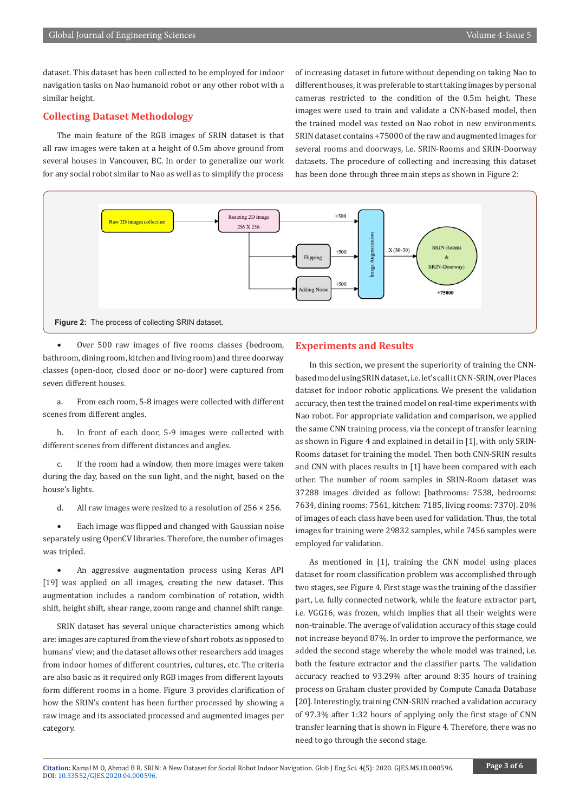dataset. This dataset has been collected to be employed for indoor navigation tasks on Nao humanoid robot or any other robot with a similar height.

# **Collecting Dataset Methodology**

The main feature of the RGB images of SRIN dataset is that all raw images were taken at a height of 0.5m above ground from several houses in Vancouver, BC. In order to generalize our work for any social robot similar to Nao as well as to simplify the process

of increasing dataset in future without depending on taking Nao to different houses, it was preferable to start taking images by personal cameras restricted to the condition of the 0.5m height. These images were used to train and validate a CNN-based model, then the trained model was tested on Nao robot in new environments. SRIN dataset contains +75000 of the raw and augmented images for several rooms and doorways, i.e. SRIN-Rooms and SRIN-Doorway datasets. The procedure of collecting and increasing this dataset has been done through three main steps as shown in Figure 2:



• Over 500 raw images of five rooms classes (bedroom, bathroom, dining room, kitchen and living room) and three doorway classes (open-door, closed door or no-door) were captured from seven different houses.

a. From each room, 5-8 images were collected with different scenes from different angles.

b. In front of each door, 5-9 images were collected with different scenes from different distances and angles.

c. If the room had a window, then more images were taken during the day, based on the sun light, and the night, based on the house's lights.

d. All raw images were resized to a resolution of 256 × 256.

Each image was flipped and changed with Gaussian noise separately using OpenCV libraries. Therefore, the number of images was tripled.

An aggressive augmentation process using Keras API [19] was applied on all images, creating the new dataset. This augmentation includes a random combination of rotation, width shift, height shift, shear range, zoom range and channel shift range.

SRIN dataset has several unique characteristics among which are: images are captured from the view of short robots as opposed to humans' view; and the dataset allows other researchers add images from indoor homes of different countries, cultures, etc. The criteria are also basic as it required only RGB images from different layouts form different rooms in a home. Figure 3 provides clarification of how the SRIN's content has been further processed by showing a raw image and its associated processed and augmented images per category.

#### **Experiments and Results**

In this section, we present the superiority of training the CNNbased model using SRIN dataset, i.e. let's call it CNN-SRIN, over Places dataset for indoor robotic applications. We present the validation accuracy, then test the trained model on real-time experiments with Nao robot. For appropriate validation and comparison, we applied the same CNN training process, via the concept of transfer learning as shown in Figure 4 and explained in detail in [1], with only SRIN-Rooms dataset for training the model. Then both CNN-SRIN results and CNN with places results in [1] have been compared with each other. The number of room samples in SRIN-Room dataset was 37288 images divided as follow: [bathrooms: 7538, bedrooms: 7634, dining rooms: 7561, kitchen: 7185, living rooms: 7370]. 20% of images of each class have been used for validation. Thus, the total images for training were 29832 samples, while 7456 samples were employed for validation.

As mentioned in [1], training the CNN model using places dataset for room classification problem was accomplished through two stages, see Figure 4. First stage was the training of the classifier part, i.e. fully connected network, while the feature extractor part, i.e. VGG16, was frozen, which implies that all their weights were non-trainable. The average of validation accuracy of this stage could not increase beyond 87%. In order to improve the performance, we added the second stage whereby the whole model was trained, i.e. both the feature extractor and the classifier parts. The validation accuracy reached to 93.29% after around 8:35 hours of training process on Graham cluster provided by Compute Canada Database [20]. Interestingly, training CNN-SRIN reached a validation accuracy of 97.3% after 1:32 hours of applying only the first stage of CNN transfer learning that is shown in Figure 4. Therefore, there was no need to go through the second stage.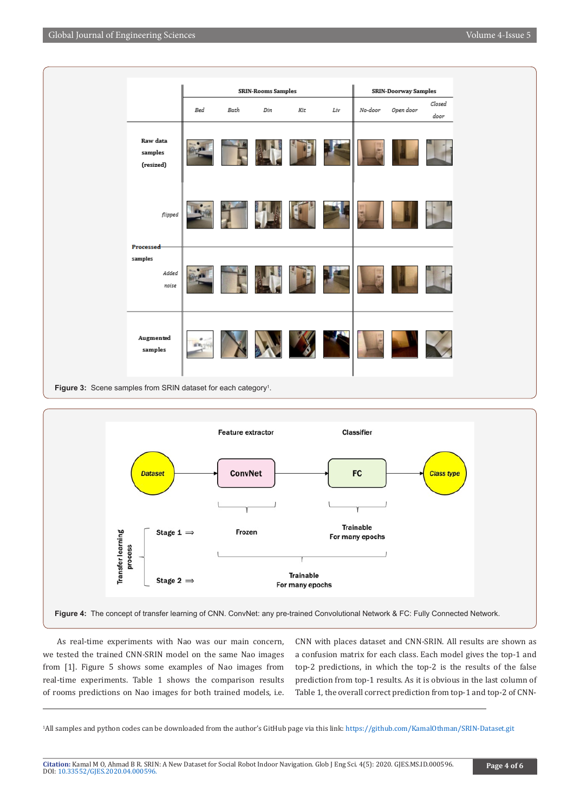



As real-time experiments with Nao was our main concern, we tested the trained CNN-SRIN model on the same Nao images from [1]. Figure 5 shows some examples of Nao images from real-time experiments. Table 1 shows the comparison results of rooms predictions on Nao images for both trained models, i.e. CNN with places dataset and CNN-SRIN. All results are shown as a confusion matrix for each class. Each model gives the top-1 and top-2 predictions, in which the top-2 is the results of the false prediction from top-1 results. As it is obvious in the last column of Table 1, the overall correct prediction from top-1 and top-2 of CNN-

1 All samples and python codes can be downloaded from the author's GitHub page via this link: <https://github.com/KamalOthman/SRIN-Dataset.git>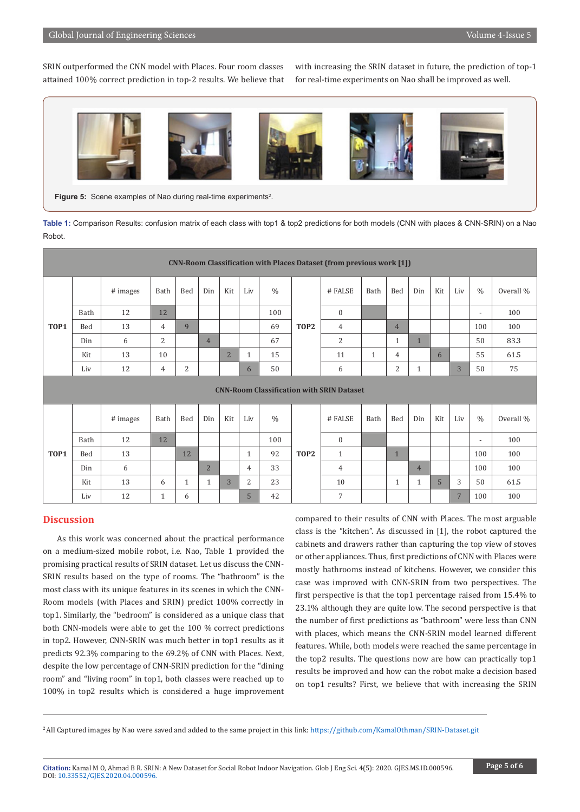SRIN outperformed the CNN model with Places. Four room classes attained 100% correct prediction in top-2 results. We believe that with increasing the SRIN dataset in future, the prediction of top-1 for real-time experiments on Nao shall be improved as well.



**Figure 5:** Scene examples of Nao during real-time experiments<sup>2</sup>.

**Table 1:** Comparison Results: confusion matrix of each class with top1 & top2 predictions for both models (CNN with places & CNN-SRIN) on a Nao Robot.

| CNN-Room Classification with Places Dataset (from previous work [1]) |      |          |                |              |                |                |                |               |                  |                  |              |                |                 |                |                |                          |           |
|----------------------------------------------------------------------|------|----------|----------------|--------------|----------------|----------------|----------------|---------------|------------------|------------------|--------------|----------------|-----------------|----------------|----------------|--------------------------|-----------|
| TOP1                                                                 |      | # images | Bath           | Bed          | Din            | Kit            | Liv            | $\frac{0}{0}$ | TOP <sub>2</sub> | # FALSE          | Bath         | Bed            | Din             | Kit            | Liv            | $\frac{0}{0}$            | Overall % |
|                                                                      | Bath | 12       | 12             |              |                |                |                | 100           |                  | $\mathbf{0}$     |              |                |                 |                |                | $\overline{\phantom{a}}$ | 100       |
|                                                                      | Bed  | 13       | $\overline{4}$ | 9            |                |                |                | 69            |                  | $\overline{4}$   |              | $\overline{4}$ |                 |                |                | 100                      | 100       |
|                                                                      | Din  | 6        | 2              |              | $\overline{4}$ |                |                | 67            |                  | 2                |              | $\mathbf{1}$   | $\mathbf{1}$    |                |                | 50                       | 83.3      |
|                                                                      | Kit  | 13       | 10             |              |                | $\overline{2}$ | $\mathbf{1}$   | 15            |                  | 11               | $\mathbf{1}$ | 4              |                 | 6              |                | 55                       | 61.5      |
|                                                                      | Liv  | 12       | $\overline{4}$ | 2            |                |                | 6              | 50            |                  | 6                |              | 2              | $\mathbf{1}$    |                | $\overline{3}$ | 50                       | 75        |
| <b>CNN-Room Classification with SRIN Dataset</b>                     |      |          |                |              |                |                |                |               |                  |                  |              |                |                 |                |                |                          |           |
| TOP1                                                                 |      | # images | Bath           | Bed          | Din            | Kit            | Liv            | $\frac{0}{0}$ |                  | # FALSE          | Bath         | Bed            | Din             | Kit            | Liv            | $\frac{0}{0}$            | Overall % |
|                                                                      | Bath |          |                |              |                |                |                |               |                  |                  |              |                |                 |                |                |                          |           |
|                                                                      |      | 12       | 12             |              |                |                |                | 100           |                  | $\boldsymbol{0}$ |              |                |                 |                |                | $\overline{\phantom{a}}$ | 100       |
|                                                                      | Bed  | 13       |                | 12           |                |                | $\mathbf{1}$   | 92            | TOP2             | $\mathbf{1}$     |              | $\mathbf{1}$   |                 |                |                | 100                      | 100       |
|                                                                      | Din  | 6        |                |              | $\overline{2}$ |                | $\overline{4}$ | 33            |                  | $\overline{4}$   |              |                | $4\overline{ }$ |                |                | 100                      | 100       |
|                                                                      | Kit  | 13       | 6              | $\mathbf{1}$ | $\mathbf{1}$   | 3              | 2              | 23            |                  | 10               |              | $\mathbf{1}$   | $\mathbf{1}$    | 5 <sup>5</sup> | 3              | 50                       | 61.5      |

#### **Discussion**

As this work was concerned about the practical performance on a medium-sized mobile robot, i.e. Nao, Table 1 provided the promising practical results of SRIN dataset. Let us discuss the CNN-SRIN results based on the type of rooms. The "bathroom" is the most class with its unique features in its scenes in which the CNN-Room models (with Places and SRIN) predict 100% correctly in top1. Similarly, the "bedroom" is considered as a unique class that both CNN-models were able to get the 100 % correct predictions in top2. However, CNN-SRIN was much better in top1 results as it predicts 92.3% comparing to the 69.2% of CNN with Places. Next, despite the low percentage of CNN-SRIN prediction for the "dining room" and "living room" in top1, both classes were reached up to 100% in top2 results which is considered a huge improvement

compared to their results of CNN with Places. The most arguable class is the "kitchen". As discussed in [1], the robot captured the cabinets and drawers rather than capturing the top view of stoves or other appliances. Thus, first predictions of CNN with Places were mostly bathrooms instead of kitchens. However, we consider this case was improved with CNN-SRIN from two perspectives. The first perspective is that the top1 percentage raised from 15.4% to 23.1% although they are quite low. The second perspective is that the number of first predictions as "bathroom" were less than CNN with places, which means the CNN-SRIN model learned different features. While, both models were reached the same percentage in the top2 results. The questions now are how can practically top1 results be improved and how can the robot make a decision based on top1 results? First, we believe that with increasing the SRIN

<sup>2</sup> All Captured images by Nao were saved and added to the same project in this link:<https://github.com/KamalOthman/SRIN-Dataset.git>